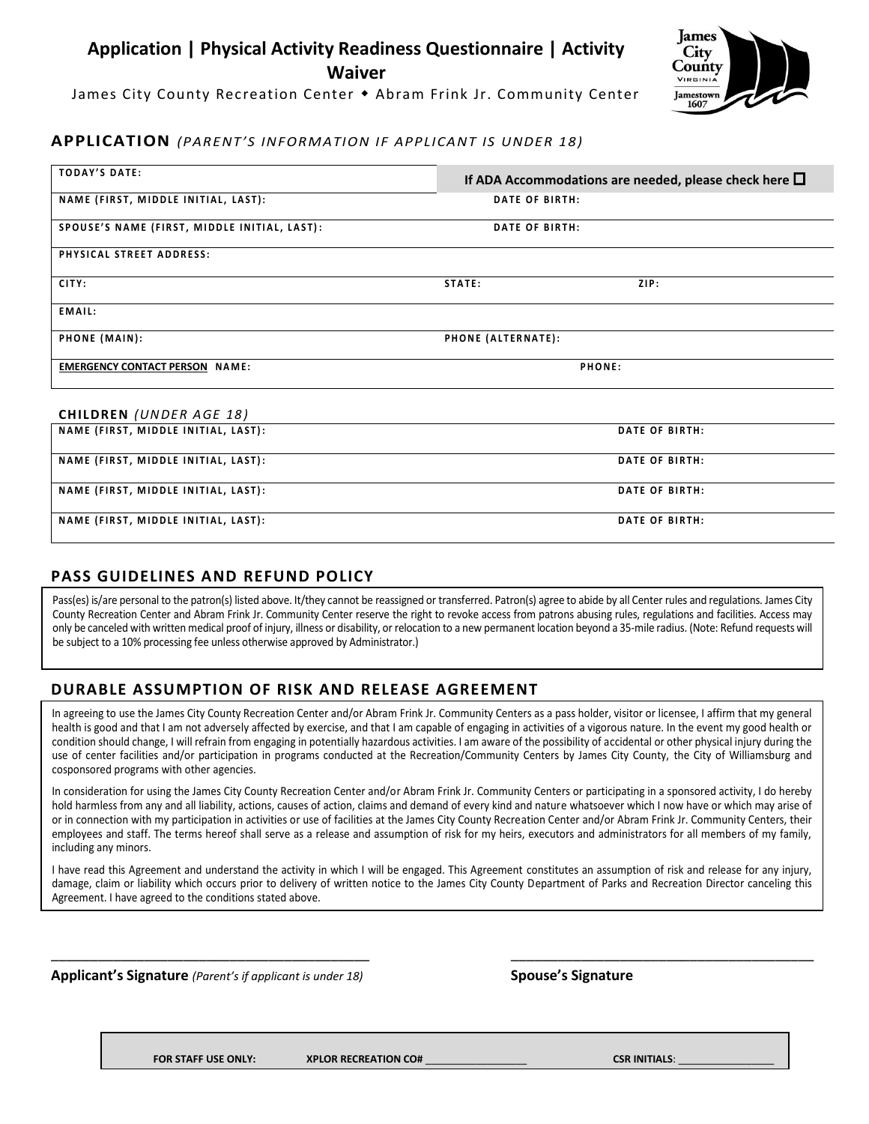# **Application | Physical Activity Readiness Questionnaire | Activity Waiver**

James City County Recreation Center Abram Frink Jr. Community Center



### **APPLICATION** *(PARENT'S INFORMATION IF APPLICANT IS UNDER 18)*

| <b>TODAY'S DATE:</b>                         |                    | If ADA Accommodations are needed, please check here $\Box$ |  |  |
|----------------------------------------------|--------------------|------------------------------------------------------------|--|--|
| NAME (FIRST, MIDDLE INITIAL, LAST):          |                    | DATE OF BIRTH:                                             |  |  |
| SPOUSE'S NAME (FIRST, MIDDLE INITIAL, LAST): |                    | DATE OF BIRTH:                                             |  |  |
| PHYSICAL STREET ADDRESS:                     |                    |                                                            |  |  |
| CITY:                                        | STATE:             | ZIP:                                                       |  |  |
| EMAIL:                                       |                    |                                                            |  |  |
| PHONE (MAIN):                                | PHONE (ALTERNATE): |                                                            |  |  |
| <b>EMERGENCY CONTACT PERSON NAME:</b>        | PHONE:             |                                                            |  |  |
| <b>CHILDREN</b> (UNDER AGE 18)               |                    |                                                            |  |  |
| NAME (FIRST, MIDDLE INITIAL, LAST):          |                    | DATE OF BIRTH:                                             |  |  |
| NAME (FIRST, MIDDLE INITIAL, LAST):          |                    | DATE OF BIRTH:                                             |  |  |
| NAME (FIRST, MIDDLE INITIAL, LAST):          |                    | <b>DATE OF BIRTH:</b>                                      |  |  |
| NAME (FIRST, MIDDLE INITIAL, LAST):          |                    | <b>DATE OF BIRTH:</b>                                      |  |  |

#### **PASS GUIDELINES AND REFUND POLICY**

Pass(es) is/are personal to the patron(s) listed above. It/they cannot be reassigned or transferred. Patron(s) agree to abide by all Center rules and regulations. James City County Recreation Center and Abram Frink Jr. Community Center reserve the right to revoke access from patrons abusing rules, regulations and facilities. Access may only be canceled with written medical proof of injury, illness or disability, or relocation to a new permanent location beyond a 35-mile radius. (Note: Refund requests will be subject to a 10% processing fee unless otherwise approved by Administrator.)

## **DURABLE ASSUMPTION OF RISK AND RELEASE AGREEMENT**

In agreeing to use the James City County Recreation Center and/or Abram Frink Jr. Community Centers as a pass holder, visitor or licensee, I affirm that my general health is good and that I am not adversely affected by exercise, and that I am capable of engaging in activities of a vigorous nature. In the event my good health or condition should change, I will refrain from engaging in potentially hazardous activities. I am aware of the possibility of accidental or other physical injury during the use of center facilities and/or participation in programs conducted at the Recreation/Community Centers by James City County, the City of Williamsburg and cosponsored programs with other agencies.

In consideration for using the James City County Recreation Center and/or Abram Frink Jr. Community Centers or participating in a sponsored activity, I do hereby hold harmless from any and all liability, actions, causes of action, claims and demand of every kind and nature whatsoever which I now have or which may arise of or in connection with my participation in activities or use of facilities at the James City County Recreation Center and/or Abram Frink Jr. Community Centers, their employees and staff. The terms hereof shall serve as a release and assumption of risk for my heirs, executors and administrators for all members of my family, including any minors.

I have read this Agreement and understand the activity in which I will be engaged. This Agreement constitutes an assumption of risk and release for any injury, damage, claim or liability which occurs prior to delivery of written notice to the James City County Department of Parks and Recreation Director canceling this Agreement. I have agreed to the conditions stated above.

\_\_\_\_\_\_\_\_\_\_\_\_\_\_\_\_\_\_\_\_\_\_\_\_\_\_\_\_\_\_\_\_\_\_\_\_\_\_\_\_\_ \_\_\_\_\_\_\_\_\_\_\_\_\_\_\_\_\_\_\_\_\_\_\_\_\_\_\_\_\_\_\_\_\_\_\_\_\_\_\_

**Applicant's Signature** *(Parent's if applicant is under 18)* **Spouse's Signature**

**FOR STAFF USE ONLY: XPLOR RECREATION CO#** \_\_\_\_\_\_\_\_\_\_\_\_\_\_\_\_\_\_ **CSR INITIALS**: \_\_\_\_\_\_\_\_\_\_\_\_\_\_\_\_\_